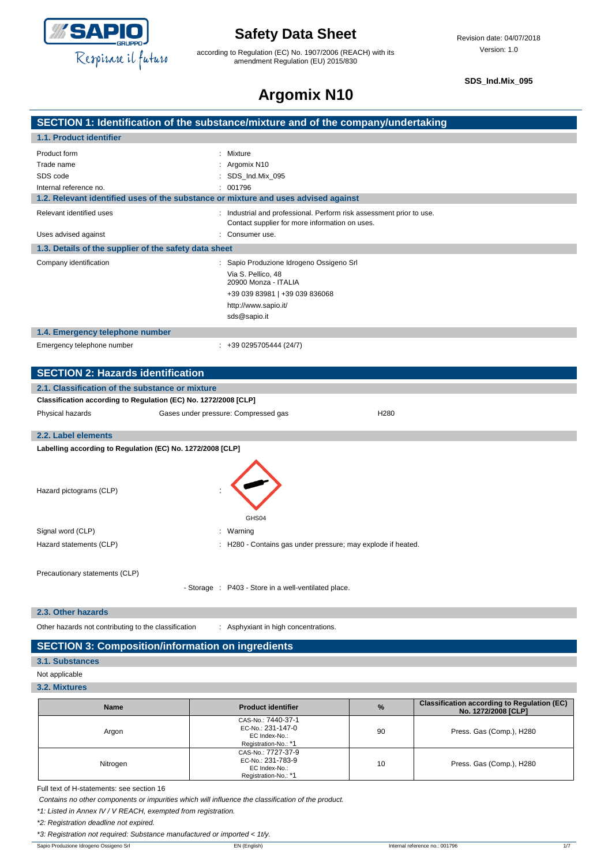

according to Regulation (EC) No. 1907/2006 (REACH) with its amendment Regulation (EU) 2015/830

**SDS\_Ind.Mix\_095**

## **Argomix N10**

| -----------                      |  |
|----------------------------------|--|
|                                  |  |
| a and af tha aamnanulundastaking |  |

|                                                                 | SECTION 1: Identification of the substance/mixture and of the company/undertaking                                                                                |
|-----------------------------------------------------------------|------------------------------------------------------------------------------------------------------------------------------------------------------------------|
| 1.1. Product identifier                                         |                                                                                                                                                                  |
| Product form                                                    | : Mixture                                                                                                                                                        |
| Trade name                                                      | Argomix N10                                                                                                                                                      |
| SDS code                                                        | SDS_Ind.Mix_095                                                                                                                                                  |
| Internal reference no.                                          | 001796                                                                                                                                                           |
|                                                                 | 1.2. Relevant identified uses of the substance or mixture and uses advised against                                                                               |
| Relevant identified uses                                        | Industrial and professional. Perform risk assessment prior to use.<br>Contact supplier for more information on uses.                                             |
| Uses advised against                                            | Consumer use.                                                                                                                                                    |
| 1.3. Details of the supplier of the safety data sheet           |                                                                                                                                                                  |
| Company identification                                          | : Sapio Produzione Idrogeno Ossigeno Srl<br>Via S. Pellico, 48<br>20900 Monza - ITALIA<br>+39 039 83981   +39 039 836068<br>http://www.sapio.it/<br>sds@sapio.it |
| 1.4. Emergency telephone number                                 |                                                                                                                                                                  |
| Emergency telephone number                                      | $: +390295705444(24/7)$                                                                                                                                          |
|                                                                 |                                                                                                                                                                  |
| <b>SECTION 2: Hazards identification</b>                        |                                                                                                                                                                  |
| 2.1. Classification of the substance or mixture                 |                                                                                                                                                                  |
| Classification according to Regulation (EC) No. 1272/2008 [CLP] |                                                                                                                                                                  |
| Physical hazards                                                | H280<br>Gases under pressure: Compressed gas                                                                                                                     |
| 2.2. Label elements                                             |                                                                                                                                                                  |
| Labelling according to Regulation (EC) No. 1272/2008 [CLP]      |                                                                                                                                                                  |
| Hazard pictograms (CLP)                                         |                                                                                                                                                                  |
|                                                                 | GHS04                                                                                                                                                            |
|                                                                 |                                                                                                                                                                  |
| Signal word (CLP)                                               | : Warning                                                                                                                                                        |
| Hazard statements (CLP)                                         | : H280 - Contains gas under pressure; may explode if heated.                                                                                                     |
| Precautionary statements (CLP)                                  | - Storage : P403 - Store in a well-ventilated place.                                                                                                             |

**2.3. Other hazards**

Other hazards not contributing to the classification : Asphyxiant in high concentrations.

#### **SECTION 3: Composition/information on ingredients**

**3.1. Substances**

Not applicable

**3.2. Mixtures**

| <b>Name</b> | <b>Product identifier</b>                                                        | $\%$ | <b>Classification according to Regulation (EC)</b><br>No. 1272/2008 [CLP] |
|-------------|----------------------------------------------------------------------------------|------|---------------------------------------------------------------------------|
| Argon       | CAS-No.: 7440-37-1<br>EC-No.: 231-147-0<br>EC Index-No.:<br>Registration-No.: *1 | 90   | Press. Gas (Comp.), H280                                                  |
| Nitrogen    | CAS-No.: 7727-37-9<br>EC-No.: 231-783-9<br>EC Index-No.:<br>Registration-No.: *1 | 10   | Press. Gas (Comp.), H280                                                  |

Full text of H-statements: see section 16

*Contains no other components or impurities which will influence the classification of the product.*

*\*1: Listed in Annex IV / V REACH, exempted from registration.*

*\*2: Registration deadline not expired.*

*\*3: Registration not required: Substance manufactured or imported < 1t/y.*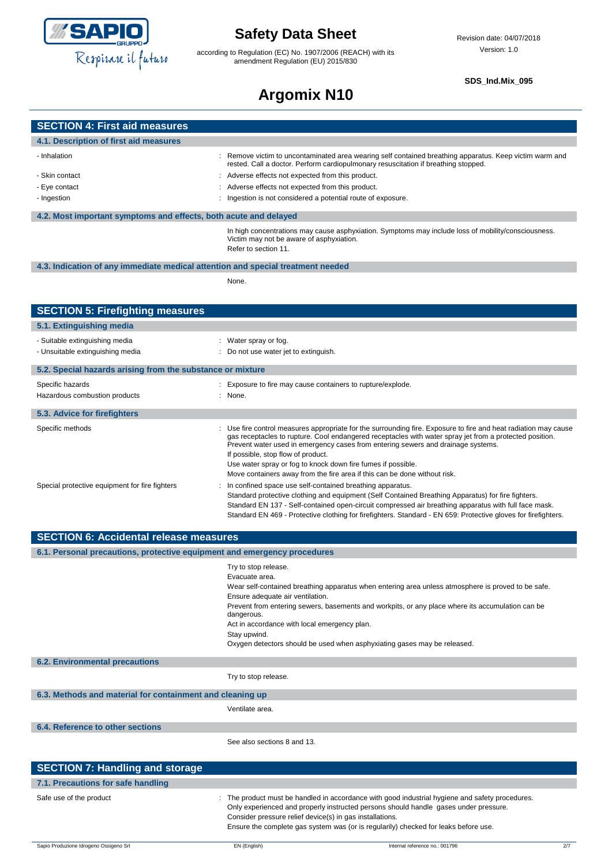

according to Regulation (EC) No. 1907/2006 (REACH) with its amendment Regulation (EU) 2015/830

#### **SDS\_Ind.Mix\_095**

# **Argomix N10**

| <b>SECTION 4: First aid measures</b>                                            |                                                                                                                                                                                                                                                                                                                                                                                                                                                                                                 |
|---------------------------------------------------------------------------------|-------------------------------------------------------------------------------------------------------------------------------------------------------------------------------------------------------------------------------------------------------------------------------------------------------------------------------------------------------------------------------------------------------------------------------------------------------------------------------------------------|
| 4.1. Description of first aid measures                                          |                                                                                                                                                                                                                                                                                                                                                                                                                                                                                                 |
| - Inhalation                                                                    | Remove victim to uncontaminated area wearing self contained breathing apparatus. Keep victim warm and<br>rested. Call a doctor. Perform cardiopulmonary resuscitation if breathing stopped.                                                                                                                                                                                                                                                                                                     |
| - Skin contact                                                                  | Adverse effects not expected from this product.                                                                                                                                                                                                                                                                                                                                                                                                                                                 |
| - Eye contact                                                                   | Adverse effects not expected from this product.                                                                                                                                                                                                                                                                                                                                                                                                                                                 |
| - Ingestion                                                                     | : Ingestion is not considered a potential route of exposure.                                                                                                                                                                                                                                                                                                                                                                                                                                    |
| 4.2. Most important symptoms and effects, both acute and delayed                |                                                                                                                                                                                                                                                                                                                                                                                                                                                                                                 |
|                                                                                 | In high concentrations may cause asphyxiation. Symptoms may include loss of mobility/consciousness.<br>Victim may not be aware of asphyxiation.<br>Refer to section 11.                                                                                                                                                                                                                                                                                                                         |
| 4.3. Indication of any immediate medical attention and special treatment needed |                                                                                                                                                                                                                                                                                                                                                                                                                                                                                                 |
|                                                                                 | None.                                                                                                                                                                                                                                                                                                                                                                                                                                                                                           |
| <b>SECTION 5: Firefighting measures</b>                                         |                                                                                                                                                                                                                                                                                                                                                                                                                                                                                                 |
| 5.1. Extinguishing media                                                        |                                                                                                                                                                                                                                                                                                                                                                                                                                                                                                 |
| - Suitable extinguishing media<br>- Unsuitable extinguishing media              | : Water spray or fog.<br>Do not use water jet to extinguish.                                                                                                                                                                                                                                                                                                                                                                                                                                    |
| 5.2. Special hazards arising from the substance or mixture                      |                                                                                                                                                                                                                                                                                                                                                                                                                                                                                                 |
| Specific hazards                                                                | : Exposure to fire may cause containers to rupture/explode.                                                                                                                                                                                                                                                                                                                                                                                                                                     |
| Hazardous combustion products                                                   | : None.                                                                                                                                                                                                                                                                                                                                                                                                                                                                                         |
| 5.3. Advice for firefighters                                                    |                                                                                                                                                                                                                                                                                                                                                                                                                                                                                                 |
| Specific methods                                                                | Use fire control measures appropriate for the surrounding fire. Exposure to fire and heat radiation may cause<br>gas receptacles to rupture. Cool endangered receptacles with water spray jet from a protected position.<br>Prevent water used in emergency cases from entering sewers and drainage systems.<br>If possible, stop flow of product.<br>Use water spray or fog to knock down fire fumes if possible.<br>Move containers away from the fire area if this can be done without risk. |
| Special protective equipment for fire fighters                                  | In confined space use self-contained breathing apparatus.<br>Standard protective clothing and equipment (Self Contained Breathing Apparatus) for fire fighters.<br>Standard EN 137 - Self-contained open-circuit compressed air breathing apparatus with full face mask.<br>Standard EN 469 - Protective clothing for firefighters. Standard - EN 659: Protective gloves for firefighters.                                                                                                      |
| <b>SECTION 6: Accidental release measures</b>                                   |                                                                                                                                                                                                                                                                                                                                                                                                                                                                                                 |
| 6.1. Personal precautions, protective equipment and emergency procedures        |                                                                                                                                                                                                                                                                                                                                                                                                                                                                                                 |
|                                                                                 | Try to stop release.<br>Evacuate area.<br>Wear self-contained breathing apparatus when entering area unless atmosphere is proved to be safe.<br>Ensure adequate air ventilation.<br>Prevent from entering sewers, basements and workpits, or any place where its accumulation can be<br>dangerous.<br>Act in accordance with local emergency plan.<br>Stay upwind.<br>Oxygen detectors should be used when asphyxiating gases may be released.                                                  |
| <b>6.2. Environmental precautions</b>                                           |                                                                                                                                                                                                                                                                                                                                                                                                                                                                                                 |
|                                                                                 | Try to stop release.                                                                                                                                                                                                                                                                                                                                                                                                                                                                            |
| 6.3. Methods and material for containment and cleaning up                       |                                                                                                                                                                                                                                                                                                                                                                                                                                                                                                 |
|                                                                                 | Ventilate area.                                                                                                                                                                                                                                                                                                                                                                                                                                                                                 |
| 6.4. Reference to other sections                                                |                                                                                                                                                                                                                                                                                                                                                                                                                                                                                                 |
|                                                                                 | See also sections 8 and 13.                                                                                                                                                                                                                                                                                                                                                                                                                                                                     |
| <b>SECTION 7: Handling and storage</b>                                          |                                                                                                                                                                                                                                                                                                                                                                                                                                                                                                 |
| 7.1. Precautions for safe handling                                              |                                                                                                                                                                                                                                                                                                                                                                                                                                                                                                 |
| Safe use of the product                                                         | : The product must be handled in accordance with good industrial hygiene and safety procedures.<br>Only experienced and properly instructed persons should handle gases under pressure.<br>Consider pressure relief device(s) in gas installations.<br>Ensure the complete gas system was (or is regularily) checked for leaks before use.                                                                                                                                                      |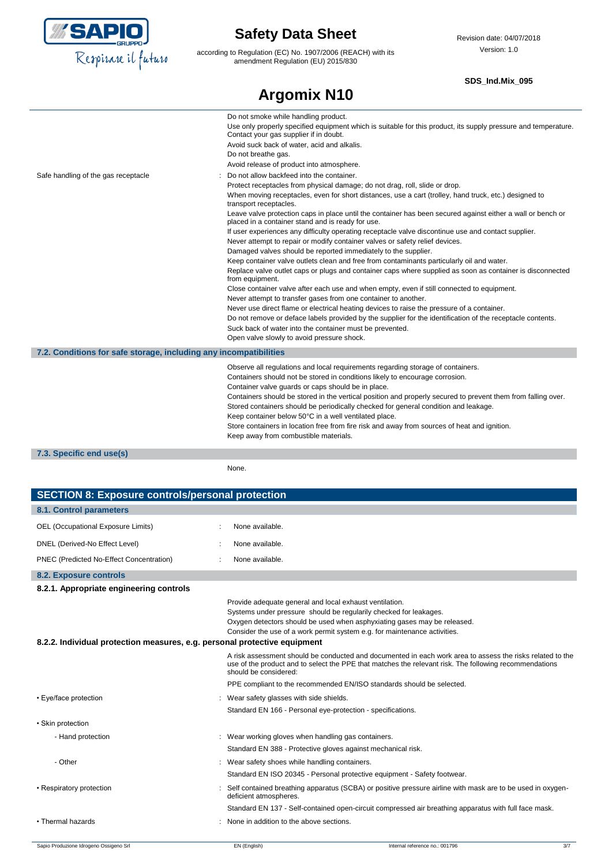

according to Regulation (EC) No. 1907/2006 (REACH) with its amendment Regulation (EU) 2015/830

#### **SDS\_Ind.Mix\_095**

|                                                                   | <b>Argomix N10</b>                                                                                                                                                                                                                                                                                                                                                                                                                                                                                                                                                                                                                                                                                                                                                                                                                                                                                                                                                                                                                                                                                                                                                                                                                                                                                                                                                                                          |
|-------------------------------------------------------------------|-------------------------------------------------------------------------------------------------------------------------------------------------------------------------------------------------------------------------------------------------------------------------------------------------------------------------------------------------------------------------------------------------------------------------------------------------------------------------------------------------------------------------------------------------------------------------------------------------------------------------------------------------------------------------------------------------------------------------------------------------------------------------------------------------------------------------------------------------------------------------------------------------------------------------------------------------------------------------------------------------------------------------------------------------------------------------------------------------------------------------------------------------------------------------------------------------------------------------------------------------------------------------------------------------------------------------------------------------------------------------------------------------------------|
|                                                                   | Do not smoke while handling product.<br>Use only properly specified equipment which is suitable for this product, its supply pressure and temperature.<br>Contact your gas supplier if in doubt.<br>Avoid suck back of water, acid and alkalis.<br>Do not breathe gas.<br>Avoid release of product into atmosphere.                                                                                                                                                                                                                                                                                                                                                                                                                                                                                                                                                                                                                                                                                                                                                                                                                                                                                                                                                                                                                                                                                         |
| Safe handling of the gas receptacle                               | Do not allow backfeed into the container.<br>Protect receptacles from physical damage; do not drag, roll, slide or drop.<br>When moving receptacles, even for short distances, use a cart (trolley, hand truck, etc.) designed to<br>transport receptacles.<br>Leave valve protection caps in place until the container has been secured against either a wall or bench or<br>placed in a container stand and is ready for use.<br>If user experiences any difficulty operating receptacle valve discontinue use and contact supplier.<br>Never attempt to repair or modify container valves or safety relief devices.<br>Damaged valves should be reported immediately to the supplier.<br>Keep container valve outlets clean and free from contaminants particularly oil and water.<br>Replace valve outlet caps or plugs and container caps where supplied as soon as container is disconnected<br>from equipment.<br>Close container valve after each use and when empty, even if still connected to equipment.<br>Never attempt to transfer gases from one container to another.<br>Never use direct flame or electrical heating devices to raise the pressure of a container.<br>Do not remove or deface labels provided by the supplier for the identification of the receptacle contents.<br>Suck back of water into the container must be prevented.<br>Open valve slowly to avoid pressure shock. |
| 7.2. Conditions for safe storage, including any incompatibilities |                                                                                                                                                                                                                                                                                                                                                                                                                                                                                                                                                                                                                                                                                                                                                                                                                                                                                                                                                                                                                                                                                                                                                                                                                                                                                                                                                                                                             |
|                                                                   | Observe all regulations and local requirements regarding storage of containers.<br>Containers should not be stored in conditions likely to encourage corrosion.<br>Container valve guards or caps should be in place.<br>Containers should be stored in the vertical position and properly secured to prevent them from falling over.<br>Stored containers should be periodically checked for general condition and leakage.<br>Keep container below 50°C in a well ventilated place.<br>Store containers in location free from fire risk and away from sources of heat and ignition.<br>Keep away from combustible materials.                                                                                                                                                                                                                                                                                                                                                                                                                                                                                                                                                                                                                                                                                                                                                                              |
| 7.3. Specific end use(s)                                          |                                                                                                                                                                                                                                                                                                                                                                                                                                                                                                                                                                                                                                                                                                                                                                                                                                                                                                                                                                                                                                                                                                                                                                                                                                                                                                                                                                                                             |

None.

| <b>SECTION 8: Exposure controls/personal protection</b>                   |                                              |                                                                                                                                                                                                                                                                                       |     |
|---------------------------------------------------------------------------|----------------------------------------------|---------------------------------------------------------------------------------------------------------------------------------------------------------------------------------------------------------------------------------------------------------------------------------------|-----|
| 8.1. Control parameters                                                   |                                              |                                                                                                                                                                                                                                                                                       |     |
| OEL (Occupational Exposure Limits)                                        | None available.                              |                                                                                                                                                                                                                                                                                       |     |
| DNEL (Derived-No Effect Level)                                            | None available.                              |                                                                                                                                                                                                                                                                                       |     |
| PNEC (Predicted No-Effect Concentration)                                  | None available.                              |                                                                                                                                                                                                                                                                                       |     |
| 8.2. Exposure controls                                                    |                                              |                                                                                                                                                                                                                                                                                       |     |
| 8.2.1. Appropriate engineering controls                                   |                                              |                                                                                                                                                                                                                                                                                       |     |
| 8.2.2. Individual protection measures, e.g. personal protective equipment |                                              | Provide adequate general and local exhaust ventilation.<br>Systems under pressure should be regularily checked for leakages.<br>Oxygen detectors should be used when asphyxiating gases may be released.<br>Consider the use of a work permit system e.g. for maintenance activities. |     |
|                                                                           | should be considered:                        | A risk assessment should be conducted and documented in each work area to assess the risks related to the<br>use of the product and to select the PPE that matches the relevant risk. The following recommendations                                                                   |     |
|                                                                           |                                              | PPE compliant to the recommended EN/ISO standards should be selected.                                                                                                                                                                                                                 |     |
| • Eye/face protection                                                     | Wear safety glasses with side shields.       |                                                                                                                                                                                                                                                                                       |     |
|                                                                           |                                              | Standard EN 166 - Personal eye-protection - specifications.                                                                                                                                                                                                                           |     |
| • Skin protection                                                         |                                              |                                                                                                                                                                                                                                                                                       |     |
| - Hand protection                                                         |                                              | : Wear working gloves when handling gas containers.<br>Standard EN 388 - Protective gloves against mechanical risk.                                                                                                                                                                   |     |
| - Other                                                                   | Wear safety shoes while handling containers. |                                                                                                                                                                                                                                                                                       |     |
|                                                                           |                                              | Standard EN ISO 20345 - Personal protective equipment - Safety footwear.                                                                                                                                                                                                              |     |
| • Respiratory protection                                                  | deficient atmospheres.                       | Self contained breathing apparatus (SCBA) or positive pressure airline with mask are to be used in oxygen-                                                                                                                                                                            |     |
|                                                                           |                                              | Standard EN 137 - Self-contained open-circuit compressed air breathing apparatus with full face mask.                                                                                                                                                                                 |     |
| • Thermal hazards                                                         | None in addition to the above sections.      |                                                                                                                                                                                                                                                                                       |     |
| Sapio Produzione Idrogeno Ossigeno Srl                                    | EN (English)                                 | Internal reference no.: 001796                                                                                                                                                                                                                                                        | 3/7 |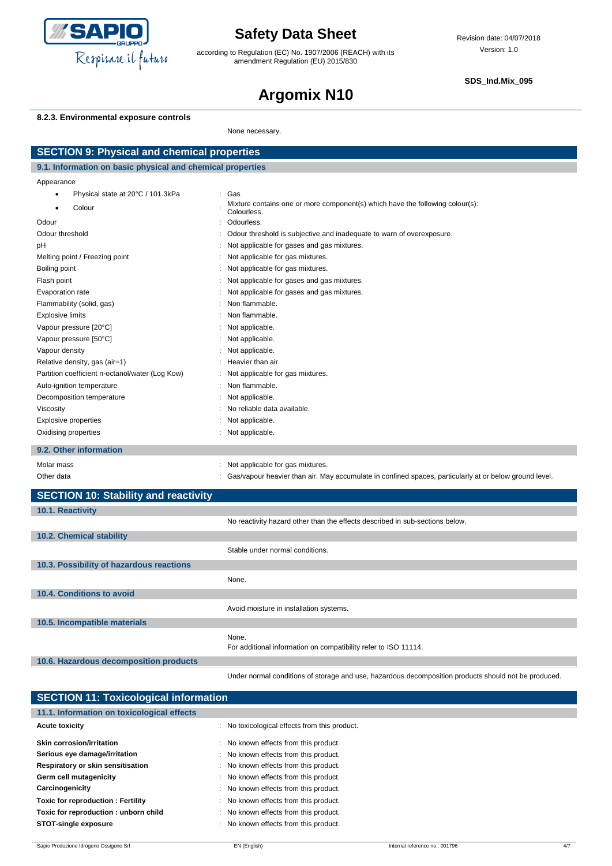

according to Regulation (EC) No. 1907/2006 (REACH) with its amendment Regulation (EU) 2015/830

**SDS\_Ind.Mix\_095**

# **Argomix N10**

#### **8.2.3. Environmental exposure controls**

None necessary.

| <b>SECTION 9: Physical and chemical properties</b>         |                      |                                                                                                        |
|------------------------------------------------------------|----------------------|--------------------------------------------------------------------------------------------------------|
| 9.1. Information on basic physical and chemical properties |                      |                                                                                                        |
| Appearance                                                 |                      |                                                                                                        |
| Physical state at 20°C / 101.3kPa<br>$\bullet$             | $\ddot{\phantom{0}}$ | Gas                                                                                                    |
| Colour                                                     |                      | Mixture contains one or more component(s) which have the following colour(s):<br>Colourless.           |
| Odour                                                      |                      | Odourless.                                                                                             |
| Odour threshold                                            |                      | Odour threshold is subjective and inadequate to warn of overexposure.                                  |
| pH                                                         |                      | Not applicable for gases and gas mixtures.                                                             |
| Melting point / Freezing point                             |                      | Not applicable for gas mixtures.                                                                       |
| Boiling point                                              |                      | Not applicable for gas mixtures.                                                                       |
| Flash point                                                |                      | Not applicable for gases and gas mixtures.                                                             |
| Evaporation rate                                           |                      | Not applicable for gases and gas mixtures.                                                             |
| Flammability (solid, gas)                                  |                      | Non flammable.                                                                                         |
| <b>Explosive limits</b>                                    |                      | Non flammable.                                                                                         |
| Vapour pressure [20°C]                                     |                      | Not applicable.                                                                                        |
| Vapour pressure [50°C]                                     |                      | Not applicable.                                                                                        |
| Vapour density                                             |                      | Not applicable.                                                                                        |
| Relative density, gas (air=1)                              |                      | Heavier than air.                                                                                      |
| Partition coefficient n-octanol/water (Log Kow)            |                      | Not applicable for gas mixtures.                                                                       |
| Auto-ignition temperature                                  |                      | Non flammable.                                                                                         |
| Decomposition temperature                                  |                      | Not applicable.                                                                                        |
| Viscosity                                                  |                      | No reliable data available.                                                                            |
| <b>Explosive properties</b>                                |                      | Not applicable.                                                                                        |
| Oxidising properties                                       |                      | : Not applicable.                                                                                      |
| 9.2. Other information                                     |                      |                                                                                                        |
| Molar mass                                                 |                      | Not applicable for gas mixtures.                                                                       |
| Other data                                                 |                      | Gas/vapour heavier than air. May accumulate in confined spaces, particularly at or below ground level. |
| <b>SECTION 10: Stability and reactivity</b>                |                      |                                                                                                        |
| 10.1. Reactivity                                           |                      |                                                                                                        |
|                                                            |                      | No reactivity hazard other than the effects described in sub-sections below.                           |
| 10.2. Chemical stability                                   |                      |                                                                                                        |
|                                                            |                      | Stable under normal conditions.                                                                        |
| 10.3. Possibility of hazardous reactions                   |                      |                                                                                                        |
|                                                            |                      | None.                                                                                                  |
| 10.4. Conditions to avoid                                  |                      |                                                                                                        |
|                                                            |                      | Avoid moisture in installation systems.                                                                |
| 10.5. Incompatible materials                               |                      |                                                                                                        |
|                                                            |                      | None.                                                                                                  |
|                                                            |                      | For additional information on compatibility refer to ISO 11114.                                        |
| 10.6. Hazardous decomposition products                     |                      |                                                                                                        |
|                                                            |                      | Under normal conditions of storage and use, hazardous decomposition products should not be produced.   |

| <b>SECTION 11: Toxicological information</b>  |  |  |
|-----------------------------------------------|--|--|
|                                               |  |  |
| : No toxicological effects from this product. |  |  |
| : No known effects from this product.         |  |  |
| : No known effects from this product.         |  |  |
| : No known effects from this product.         |  |  |
| : No known effects from this product.         |  |  |
| : No known effects from this product.         |  |  |
| : No known effects from this product.         |  |  |
| : No known effects from this product.         |  |  |
| : No known effects from this product.         |  |  |
|                                               |  |  |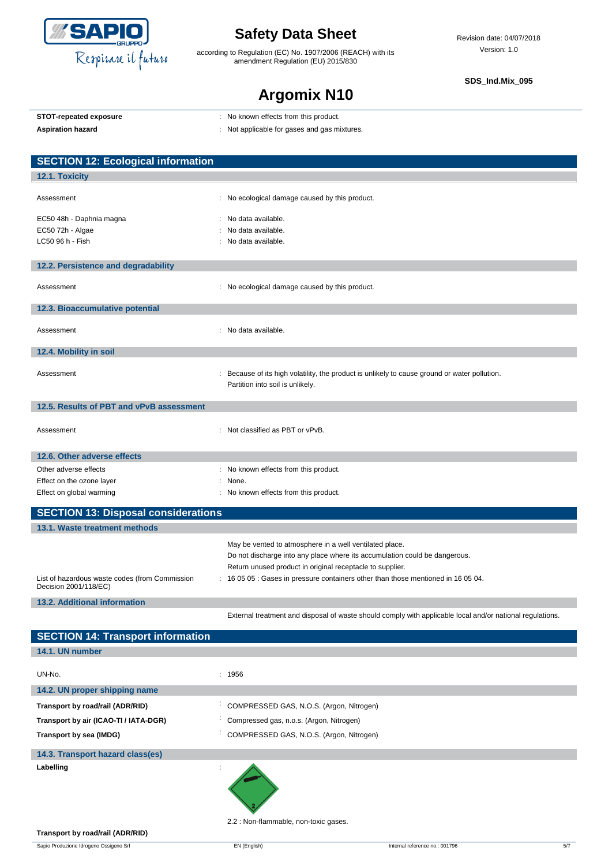

according to Regulation (EC) No. 1907/2006 (REACH) with its amendment Regulation (EU) 2015/830

**SDS\_Ind.Mix\_095**

### **Argomix N10**

| STOT-repeated exposure |
|------------------------|
|                        |

- **STOT-repeated exposure** : No known effects from this product.
- Aspiration hazard<br> **Aspiration hazard in the set of the set of the set of the set of the set of the set of the set of the set of the set of the set of the set of the set of the set of the set of the set of the set of the**

| <b>SECTION 12: Ecological information</b>                               |                                                                                                                                       |
|-------------------------------------------------------------------------|---------------------------------------------------------------------------------------------------------------------------------------|
| 12.1. Toxicity                                                          |                                                                                                                                       |
|                                                                         |                                                                                                                                       |
| Assessment                                                              | : No ecological damage caused by this product.                                                                                        |
| EC50 48h - Daphnia magna                                                | No data available.                                                                                                                    |
| EC50 72h - Algae                                                        | No data available.                                                                                                                    |
| LC50 96 h - Fish                                                        | No data available.                                                                                                                    |
|                                                                         |                                                                                                                                       |
| 12.2. Persistence and degradability                                     |                                                                                                                                       |
| Assessment                                                              | : No ecological damage caused by this product.                                                                                        |
| 12.3. Bioaccumulative potential                                         |                                                                                                                                       |
| Assessment                                                              | : No data available.                                                                                                                  |
| 12.4. Mobility in soil                                                  |                                                                                                                                       |
| Assessment                                                              | : Because of its high volatility, the product is unlikely to cause ground or water pollution.<br>Partition into soil is unlikely.     |
| 12.5. Results of PBT and vPvB assessment                                |                                                                                                                                       |
| Assessment                                                              | : Not classified as PBT or vPvB.                                                                                                      |
| 12.6. Other adverse effects                                             |                                                                                                                                       |
| Other adverse effects                                                   | : No known effects from this product.                                                                                                 |
| Effect on the ozone layer                                               | None.                                                                                                                                 |
| Effect on global warming                                                | : No known effects from this product.                                                                                                 |
| <b>SECTION 13: Disposal considerations</b>                              |                                                                                                                                       |
| 13.1. Waste treatment methods                                           |                                                                                                                                       |
|                                                                         | May be vented to atmosphere in a well ventilated place.<br>Do not discharge into any place where its accumulation could be dangerous. |
|                                                                         | Return unused product in original receptacle to supplier.                                                                             |
| List of hazardous waste codes (from Commission<br>Decision 2001/118/EC) | : 16 05 05 : Gases in pressure containers other than those mentioned in 16 05 04.                                                     |
| <b>13.2. Additional information</b>                                     |                                                                                                                                       |
|                                                                         | External treatment and disposal of waste should comply with applicable local and/or national regulations.                             |

**SECTION 14: Transport information 14.1. UN number** UN-No. : 1956 **14.2. UN proper shipping name Transport by road/rail (ADR/RID)** : COMPRESSED GAS, N.O.S. (Argon, Nitrogen) **Transport by air (ICAO-TI / IATA-DGR)** : Compressed gas, n.o.s. (Argon, Nitrogen) **Transport by sea (IMDG)** : COMPRESSED GAS, N.O.S. (Argon, Nitrogen) **14.3. Transport hazard class(es) Labelling** :

2.2 : Non-flammable, non-toxic gases.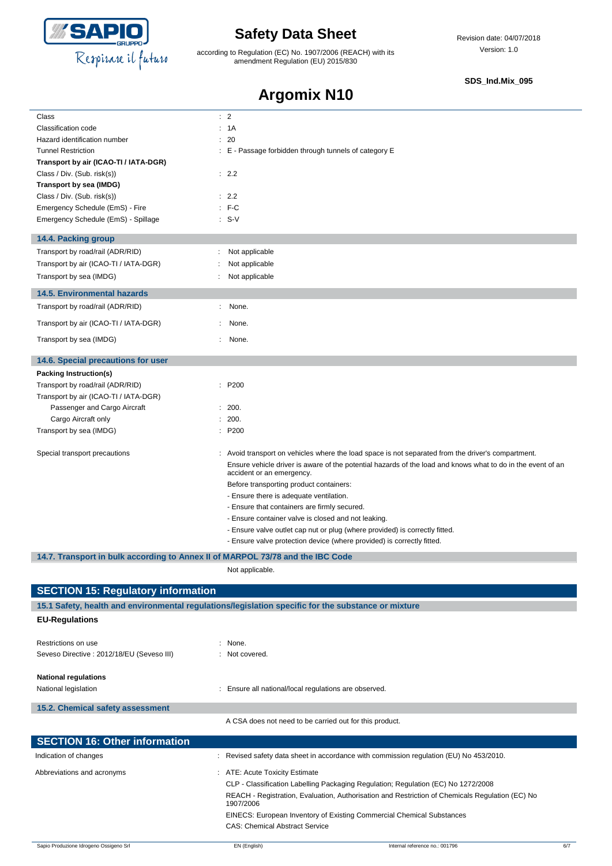

according to Regulation (EC) No. 1907/2006 (REACH) with its amendment Regulation (EU) 2015/830

#### **SDS\_Ind.Mix\_095**

# **Argomix N10**

| Class                                                                          | $\therefore$ 2                                                                                                                           |
|--------------------------------------------------------------------------------|------------------------------------------------------------------------------------------------------------------------------------------|
| Classification code                                                            | : 1A                                                                                                                                     |
| Hazard identification number                                                   | 20                                                                                                                                       |
| <b>Tunnel Restriction</b>                                                      | E - Passage forbidden through tunnels of category E                                                                                      |
| Transport by air (ICAO-TI / IATA-DGR)                                          |                                                                                                                                          |
| Class / Div. (Sub. risk(s))<br>Transport by sea (IMDG)                         | : 2.2                                                                                                                                    |
| Class / Div. (Sub. risk(s))                                                    | : 2.2                                                                                                                                    |
| Emergency Schedule (EmS) - Fire                                                | $:$ F-C                                                                                                                                  |
| Emergency Schedule (EmS) - Spillage                                            | $: S-V$                                                                                                                                  |
| 14.4. Packing group                                                            |                                                                                                                                          |
| Transport by road/rail (ADR/RID)                                               | Not applicable                                                                                                                           |
| Transport by air (ICAO-TI / IATA-DGR)                                          | Not applicable                                                                                                                           |
| Transport by sea (IMDG)                                                        | Not applicable                                                                                                                           |
|                                                                                |                                                                                                                                          |
| <b>14.5. Environmental hazards</b><br>Transport by road/rail (ADR/RID)         | None.<br>÷.                                                                                                                              |
|                                                                                |                                                                                                                                          |
| Transport by air (ICAO-TI / IATA-DGR)                                          | None.                                                                                                                                    |
| Transport by sea (IMDG)                                                        | None.                                                                                                                                    |
| 14.6. Special precautions for user                                             |                                                                                                                                          |
| Packing Instruction(s)                                                         |                                                                                                                                          |
| Transport by road/rail (ADR/RID)                                               | : P200                                                                                                                                   |
| Transport by air (ICAO-TI / IATA-DGR)                                          |                                                                                                                                          |
| Passenger and Cargo Aircraft                                                   | 200.                                                                                                                                     |
| Cargo Aircraft only                                                            | 200.                                                                                                                                     |
| Transport by sea (IMDG)                                                        | : P200                                                                                                                                   |
| Special transport precautions                                                  | Avoid transport on vehicles where the load space is not separated from the driver's compartment.                                         |
|                                                                                | Ensure vehicle driver is aware of the potential hazards of the load and knows what to do in the event of an<br>accident or an emergency. |
|                                                                                | Before transporting product containers:                                                                                                  |
|                                                                                | - Ensure there is adequate ventilation.                                                                                                  |
|                                                                                | - Ensure that containers are firmly secured.                                                                                             |
|                                                                                | - Ensure container valve is closed and not leaking.                                                                                      |
|                                                                                | - Ensure valve outlet cap nut or plug (where provided) is correctly fitted.                                                              |
|                                                                                | - Ensure valve protection device (where provided) is correctly fitted.                                                                   |
| 14.7. Transport in bulk according to Annex II of MARPOL 73/78 and the IBC Code |                                                                                                                                          |
|                                                                                | Not applicable.                                                                                                                          |
| <b>SECTION 15: Regulatory information</b>                                      |                                                                                                                                          |
|                                                                                | 15.1 Safety, health and environmental regulations/legislation specific for the substance or mixture                                      |
| <b>EU-Regulations</b>                                                          |                                                                                                                                          |
| Restrictions on use                                                            | : None.                                                                                                                                  |
| Seveso Directive : 2012/18/EU (Seveso III)                                     | : Not covered.                                                                                                                           |
| <b>National regulations</b>                                                    |                                                                                                                                          |
| National legislation                                                           | : Ensure all national/local regulations are observed.                                                                                    |
| 15.2. Chemical safety assessment                                               |                                                                                                                                          |
|                                                                                | A CSA does not need to be carried out for this product.                                                                                  |
|                                                                                |                                                                                                                                          |
| <b>SECTION 16: Other information</b>                                           |                                                                                                                                          |
| Indication of changes                                                          | : Revised safety data sheet in accordance with commission regulation (EU) No 453/2010.                                                   |
| Abbreviations and acronyms                                                     | : ATE: Acute Toxicity Estimate                                                                                                           |
|                                                                                | CLP - Classification Labelling Packaging Regulation; Regulation (EC) No 1272/2008                                                        |
|                                                                                | REACH - Registration, Evaluation, Authorisation and Restriction of Chemicals Regulation (EC) No<br>1907/2006                             |
|                                                                                | EINECS: European Inventory of Existing Commercial Chemical Substances                                                                    |
|                                                                                | <b>CAS: Chemical Abstract Service</b>                                                                                                    |